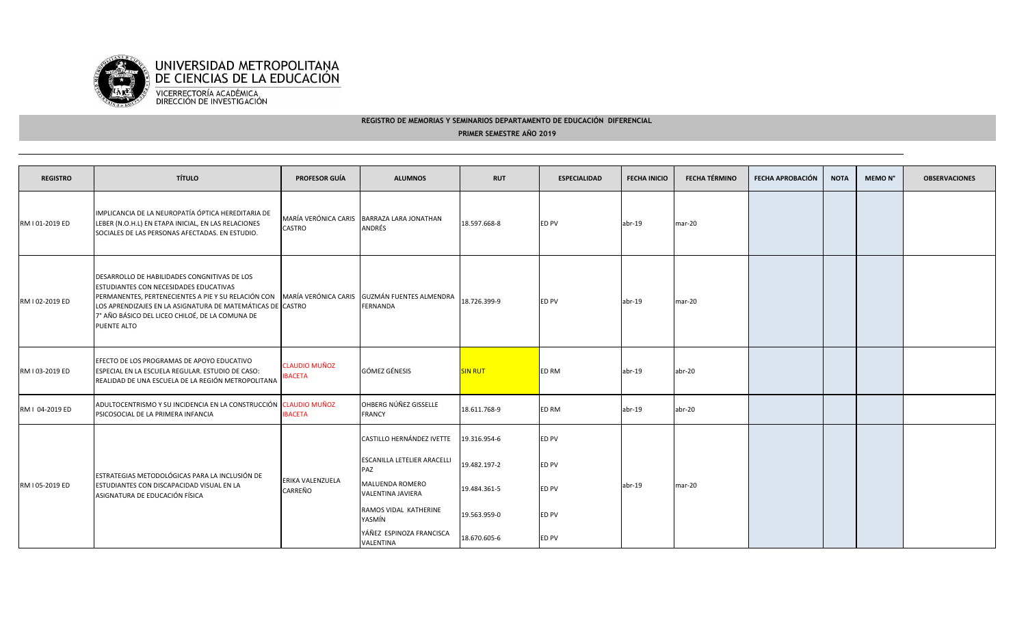

## **REGISTRO DE MEMORIAS Y SEMINARIOS DEPARTAMENTO DE EDUCACIÓN DIFERENCIALPRIMER SEMESTRE AÑO 2019**

| <b>REGISTRO</b> | <b>TÍTULO</b>                                                                                                                                                                                                                                                                                                              | <b>PROFESOR GUÍA</b>                  | <b>ALUMNOS</b>                                       | <b>RUT</b>     | <b>ESPECIALIDAD</b> | <b>FECHA INICIO</b> | <b>FECHA TÉRMINO</b> | FECHA APROBACIÓN | <b>NOTA</b> | MEMO N° | <b>OBSERVACIONES</b> |
|-----------------|----------------------------------------------------------------------------------------------------------------------------------------------------------------------------------------------------------------------------------------------------------------------------------------------------------------------------|---------------------------------------|------------------------------------------------------|----------------|---------------------|---------------------|----------------------|------------------|-------------|---------|----------------------|
| RM I 01-2019 ED | IMPLICANCIA DE LA NEUROPATÍA ÓPTICA HEREDITARIA DE<br>LEBER (N.O.H.L) EN ETAPA INICIAL, EN LAS RELACIONES<br>SOCIALES DE LAS PERSONAS AFECTADAS. EN ESTUDIO.                                                                                                                                                               | <b>CASTRO</b>                         | MARÍA VERÓNICA CARIS BARRAZA LARA JONATHAN<br>ANDRÉS | 18.597.668-8   | <b>ED PV</b>        | abr-19              | mar-20               |                  |             |         |                      |
| RM I 02-2019 ED | DESARROLLO DE HABILIDADES CONGNITIVAS DE LOS<br>ESTUDIANTES CON NECESIDADES EDUCATIVAS<br>PERMANENTES, PERTENECIENTES A PIE Y SU RELACIÓN CON MARÍA VERÓNICA CARIS GUZMÁN FUENTES ALMENDRA<br>LOS APRENDIZAJES EN LA ASIGNATURA DE MATEMÁTICAS DE CASTRO<br>7° AÑO BÁSICO DEL LICEO CHILOÉ, DE LA COMUNA DE<br>PUENTE ALTO |                                       | FERNANDA                                             | 18.726.399-9   | <b>ED PV</b>        | abr-19              | mar-20               |                  |             |         |                      |
| RM I 03-2019 ED | EFECTO DE LOS PROGRAMAS DE APOYO EDUCATIVO<br>ESPECIAL EN LA ESCUELA REGULAR. ESTUDIO DE CASO:<br>REALIDAD DE UNA ESCUELA DE LA REGIÓN METROPOLITANA                                                                                                                                                                       | <b>CLAUDIO MUÑOZ</b><br><b>BACETA</b> | <b>GÓMEZ GÉNESIS</b>                                 | <b>SIN RUT</b> | <b>ED RM</b>        | abr-19              | abr-20               |                  |             |         |                      |
| RM I 04-2019 ED | ADULTOCENTRISMO Y SU INCIDENCIA EN LA CONSTRUCCIÓN CLAUDIO MUÑOZ<br>PSICOSOCIAL DE LA PRIMERA INFANCIA                                                                                                                                                                                                                     | <b>IBACETA</b>                        | OHBERG NÚÑEZ GISSELLE<br><b>FRANCY</b>               | 18.611.768-9   | <b>ED RM</b>        | abr-19              | abr-20               |                  |             |         |                      |
| RM I 05-2019 ED | ESTRATEGIAS METODOLÓGICAS PARA LA INCLUSIÓN DE<br>ESTUDIANTES CON DISCAPACIDAD VISUAL EN LA<br>ASIGNATURA DE EDUCACIÓN FÍSICA                                                                                                                                                                                              | ERIKA VALENZUELA<br>CARREÑO           | CASTILLO HERNÁNDEZ IVETTE                            | 19.316.954-6   | <b>ED PV</b>        | abr-19              | mar-20               |                  |             |         |                      |
|                 |                                                                                                                                                                                                                                                                                                                            |                                       | <b>ESCANILLA LETELIER ARACELLI</b><br>PAZ            | 19.482.197-2   | ED PV               |                     |                      |                  |             |         |                      |
|                 |                                                                                                                                                                                                                                                                                                                            |                                       | MALUENDA ROMERO<br><b>VALENTINA JAVIERA</b>          | 19.484.361-5   | ED PV               |                     |                      |                  |             |         |                      |
|                 |                                                                                                                                                                                                                                                                                                                            |                                       | RAMOS VIDAL KATHERINE<br>YASMÍN                      | 19.563.959-0   | ED PV               |                     |                      |                  |             |         |                      |
|                 |                                                                                                                                                                                                                                                                                                                            |                                       | YÁÑEZ ESPINOZA FRANCISCA<br>VALENTINA                | 18.670.605-6   | <b>ED PV</b>        |                     |                      |                  |             |         |                      |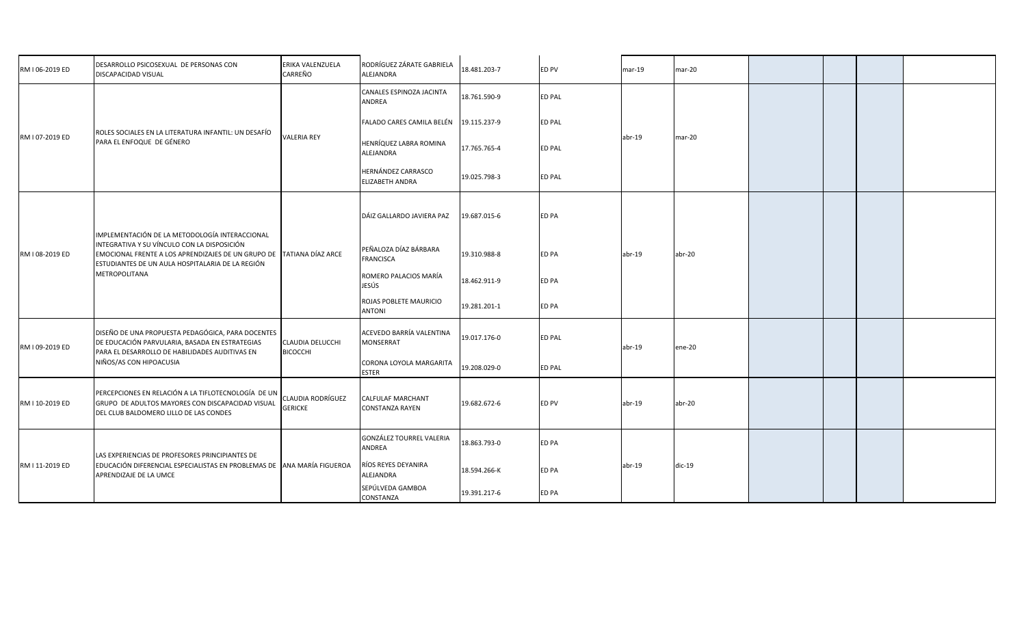| RM I 06-2019 ED | DESARROLLO PSICOSEXUAL DE PERSONAS CON<br>DISCAPACIDAD VISUAL                                                                                                                                                                              | ERIKA VALENZUELA<br>CARREÑO                                            | RODRÍGUEZ ZÁRATE GABRIELA<br>ALEJANDRA    | 18.481.203-7 | ED PV         | $mar-19$           | mar-20   |  |  |
|-----------------|--------------------------------------------------------------------------------------------------------------------------------------------------------------------------------------------------------------------------------------------|------------------------------------------------------------------------|-------------------------------------------|--------------|---------------|--------------------|----------|--|--|
| RM I 07-2019 ED | ROLES SOCIALES EN LA LITERATURA INFANTIL: UN DESAFÍO<br>PARA EL ENFOQUE DE GÉNERO                                                                                                                                                          | <b>VALERIA REY</b>                                                     | CANALES ESPINOZA JACINTA<br>ANDREA        | 18.761.590-9 | <b>ED PAL</b> | $abr-19$           |          |  |  |
|                 |                                                                                                                                                                                                                                            |                                                                        | FALADO CARES CAMILA BELÉN                 | 19.115.237-9 | <b>ED PAL</b> |                    | $mar-20$ |  |  |
|                 |                                                                                                                                                                                                                                            |                                                                        | HENRÍQUEZ LABRA ROMINA<br>ALEJANDRA       | 17.765.765-4 | <b>ED PAL</b> |                    |          |  |  |
|                 |                                                                                                                                                                                                                                            |                                                                        | HERNÁNDEZ CARRASCO<br>ELIZABETH ANDRA     | 19.025.798-3 | <b>ED PAL</b> |                    |          |  |  |
| RM I 08-2019 ED | IMPLEMENTACIÓN DE LA METODOLOGÍA INTERACCIONAL<br>INTEGRATIVA Y SU VÍNCULO CON LA DISPOSICIÓN<br>EMOCIONAL FRENTE A LOS APRENDIZAJES DE UN GRUPO DE TATIANA DÍAZ ARCE<br>ESTUDIANTES DE UN AULA HOSPITALARIA DE LA REGIÓN<br>METROPOLITANA |                                                                        | DÁIZ GALLARDO JAVIERA PAZ                 | 19.687.015-6 | ED PA         | $abr-19$           |          |  |  |
|                 |                                                                                                                                                                                                                                            |                                                                        | PEÑALOZA DÍAZ BÁRBARA<br><b>FRANCISCA</b> | 19.310.988-8 | ED PA         |                    | abr-20   |  |  |
|                 |                                                                                                                                                                                                                                            |                                                                        | ROMERO PALACIOS MARÍA<br>JESÚS            | 18.462.911-9 | ED PA         |                    |          |  |  |
|                 |                                                                                                                                                                                                                                            |                                                                        | ROJAS POBLETE MAURICIO<br><b>ANTONI</b>   | 19.281.201-1 | ED PA         |                    |          |  |  |
| RM I 09-2019 ED | DISEÑO DE UNA PROPUESTA PEDAGÓGICA, PARA DOCENTES<br>DE EDUCACIÓN PARVULARIA, BASADA EN ESTRATEGIAS<br>PARA EL DESARROLLO DE HABILIDADES AUDITIVAS EN<br>NIÑOS/AS CON HIPOACUSIA                                                           | CLAUDIA DELUCCHI<br><b>BICOCCHI</b>                                    | ACEVEDO BARRÍA VALENTINA<br>MONSERRAT     | 19.017.176-0 | <b>ED PAL</b> | $abr-19$           | ene-20   |  |  |
|                 |                                                                                                                                                                                                                                            |                                                                        | CORONA LOYOLA MARGARITA<br><b>ESTER</b>   | 19.208.029-0 | <b>ED PAL</b> |                    |          |  |  |
| RM I 10-2019 ED | PERCEPCIONES EN RELACIÓN A LA TIFLOTECNOLOGÍA DE UN<br>GRUPO DE ADULTOS MAYORES CON DISCAPACIDAD VISUAL<br>DEL CLUB BALDOMERO LILLO DE LAS CONDES                                                                                          | <b>CLAUDIA RODRÍGUEZ</b><br><b>GERICKE</b>                             | CALFULAF MARCHANT<br>CONSTANZA RAYEN      | 19.682.672-6 | ED PV         | $abr-19$           | abr-20   |  |  |
| RM I 11-2019 ED | LAS EXPERIENCIAS DE PROFESORES PRINCIPIANTES DE<br>APRENDIZAJE DE LA UMCE                                                                                                                                                                  | EDUCACIÓN DIFERENCIAL ESPECIALISTAS EN PROBLEMAS DE ANA MARÍA FIGUEROA | GONZÁLEZ TOURREL VALERIA<br>ANDREA        | 18.863.793-0 | ED PA         | dic-19<br>$abr-19$ |          |  |  |
|                 |                                                                                                                                                                                                                                            |                                                                        | RÍOS REYES DEYANIRA<br>ALEJANDRA          | 18.594.266-K | ED PA         |                    |          |  |  |
|                 |                                                                                                                                                                                                                                            |                                                                        | SEPÚLVEDA GAMBOA<br>CONSTANZA             | 19.391.217-6 | ED PA         |                    |          |  |  |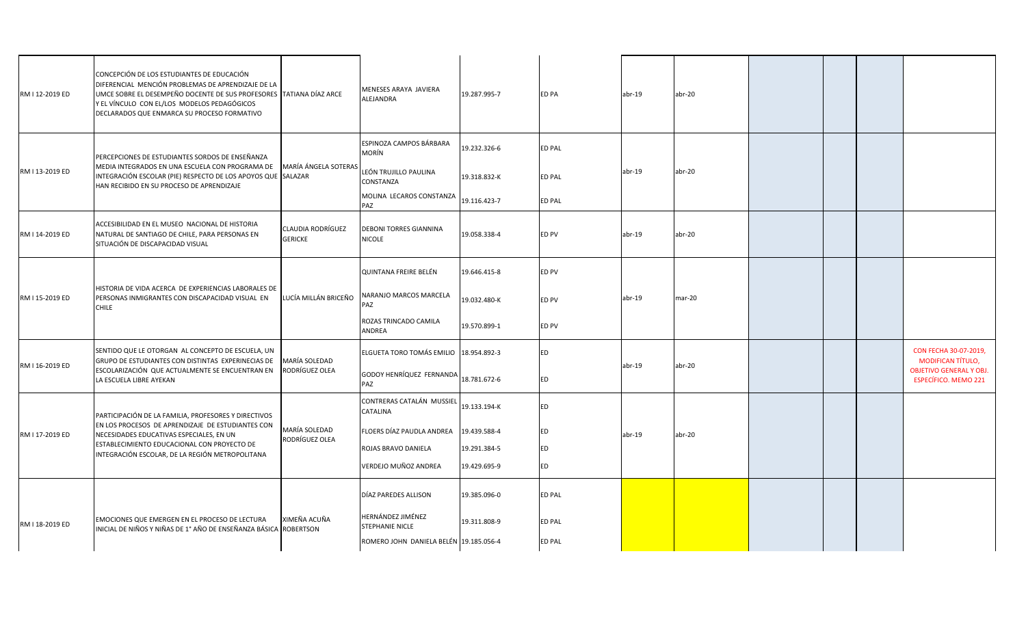| RM I 12-2019 ED | CONCEPCIÓN DE LOS ESTUDIANTES DE EDUCACIÓN<br>DIFERENCIAL MENCIÓN PROBLEMAS DE APRENDIZAJE DE LA<br>UMCE SOBRE EL DESEMPEÑO DOCENTE DE SUS PROFESORES TATIANA DÍAZ ARCE<br>Y EL VÍNCULO CON EL/LOS MODELOS PEDAGÓGICOS<br>DECLARADOS QUE ENMARCA SU PROCESO FORMATIVO |                                     | <b>MENESES ARAYA JAVIERA</b><br>ALEJANDRA                              | 19.287.995-7                 | ED PA            | $abr-19$ | $abr-20$ |  |                                                               |
|-----------------|-----------------------------------------------------------------------------------------------------------------------------------------------------------------------------------------------------------------------------------------------------------------------|-------------------------------------|------------------------------------------------------------------------|------------------------------|------------------|----------|----------|--|---------------------------------------------------------------|
| RM I 13-2019 ED | PERCEPCIONES DE ESTUDIANTES SORDOS DE ENSEÑANZA<br>MEDIA INTEGRADOS EN UNA ESCUELA CON PROGRAMA DE<br>INTEGRACIÓN ESCOLAR (PIE) RESPECTO DE LOS APOYOS QUE SALAZAR<br>HAN RECIBIDO EN SU PROCESO DE APRENDIZAJE                                                       | MARÍA ÁNGELA SOTERAS                | ESPINOZA CAMPOS BÁRBARA<br>MORÍN<br>LEÓN TRUJILLO PAULINA<br>CONSTANZA | 19.232.326-6<br>19.318.832-K | ED PAL<br>ED PAL | $abr-19$ | $abr-20$ |  |                                                               |
|                 |                                                                                                                                                                                                                                                                       |                                     | MOLINA LECAROS CONSTANZA<br>PAZ                                        | 19.116.423-7                 | <b>ED PAL</b>    |          |          |  |                                                               |
| RM I 14-2019 ED | ACCESIBILIDAD EN EL MUSEO NACIONAL DE HISTORIA<br>NATURAL DE SANTIAGO DE CHILE, PARA PERSONAS EN<br>SITUACIÓN DE DISCAPACIDAD VISUAL                                                                                                                                  | CLAUDIA RODRÍGUEZ<br><b>GERICKE</b> | <b>DEBONI TORRES GIANNINA</b><br><b>NICOLE</b>                         | 19.058.338-4                 | ED PV            | $abr-19$ | abr-20   |  |                                                               |
|                 |                                                                                                                                                                                                                                                                       |                                     | QUINTANA FREIRE BELÉN                                                  | 19.646.415-8                 | ED PV            |          |          |  |                                                               |
| RM I 15-2019 ED | HISTORIA DE VIDA ACERCA DE EXPERIENCIAS LABORALES DE<br>PERSONAS INMIGRANTES CON DISCAPACIDAD VISUAL EN<br><b>CHILE</b>                                                                                                                                               | LUCÍA MILLÁN BRICEÑO                | <b>VARANJO MARCOS MARCELA</b><br>PAZ                                   | 19.032.480-K                 | ED PV            | $abr-19$ | mar-20   |  |                                                               |
|                 |                                                                                                                                                                                                                                                                       |                                     | ROZAS TRINCADO CAMILA<br>ANDREA                                        | 19.570.899-1                 | ED PV            |          |          |  |                                                               |
|                 | SENTIDO QUE LE OTORGAN AL CONCEPTO DE ESCUELA, UN<br>GRUPO DE ESTUDIANTES CON DISTINTAS EXPERINECIAS DE                                                                                                                                                               | MARÍA SOLEDAD                       | ELGUETA TORO TOMÁS EMILIO 18.954.892-3                                 |                              | ED               |          | abr-20   |  | CON FECHA 30-07-2019,<br><b>MODIFICAN TÍTULO,</b>             |
| RM I 16-2019 ED | ESCOLARIZACIÓN QUE ACTUALMENTE SE ENCUENTRAN EN<br>LA ESCUELA LIBRE AYEKAN                                                                                                                                                                                            | RODRÍGUEZ OLEA                      | GODOY HENRÍQUEZ FERNANDA<br>PAZ                                        | 18.781.672-6                 | ED               | $abr-19$ |          |  | <b>OBJETIVO GENERAL Y OBJ.</b><br><b>ESPECÍFICO. MEMO 221</b> |
|                 | PARTICIPACIÓN DE LA FAMILIA, PROFESORES Y DIRECTIVOS<br>EN LOS PROCESOS DE APRENDIZAJE DE ESTUDIANTES CON<br>NECESIDADES EDUCATIVAS ESPECIALES, EN UN<br>ESTABLECIMIENTO EDUCACIONAL CON PROYECTO DE<br>INTEGRACIÓN ESCOLAR, DE LA REGIÓN METROPOLITANA               |                                     | CONTRERAS CATALÁN MUSSIEL<br><b>CATALINA</b>                           | 19.133.194-K                 | ED               |          |          |  |                                                               |
| RM I 17-2019 ED |                                                                                                                                                                                                                                                                       | MARÍA SOLEDAD<br>RODRÍGUEZ OLEA     | FLOERS DÍAZ PAUDLA ANDREA                                              | 19.439.588-4                 | <b>ED</b>        | $abr-19$ | $abr-20$ |  |                                                               |
|                 |                                                                                                                                                                                                                                                                       |                                     | ROJAS BRAVO DANIELA                                                    | 19.291.384-5                 | ED               |          |          |  |                                                               |
|                 |                                                                                                                                                                                                                                                                       |                                     | VERDEJO MUÑOZ ANDREA                                                   | 19.429.695-9                 | ED               |          |          |  |                                                               |
|                 |                                                                                                                                                                                                                                                                       |                                     | DÍAZ PAREDES ALLISON                                                   | 19.385.096-0                 | ED PAL           |          |          |  |                                                               |
| RM I 18-2019 ED | EMOCIONES QUE EMERGEN EN EL PROCESO DE LECTURA<br>INICIAL DE NIÑOS Y NIÑAS DE 1º AÑO DE ENSEÑANZA BÁSICA ROBERTSON                                                                                                                                                    | XIMEÑA ACUÑA                        | HERNÁNDEZ JIMÉNEZ<br>STEPHANIE NICLE                                   | 19.311.808-9                 | ED PAL           |          |          |  |                                                               |
|                 |                                                                                                                                                                                                                                                                       |                                     | ROMERO JOHN DANIELA BELÉN 19.185.056-4                                 |                              | ED PAL           |          |          |  |                                                               |